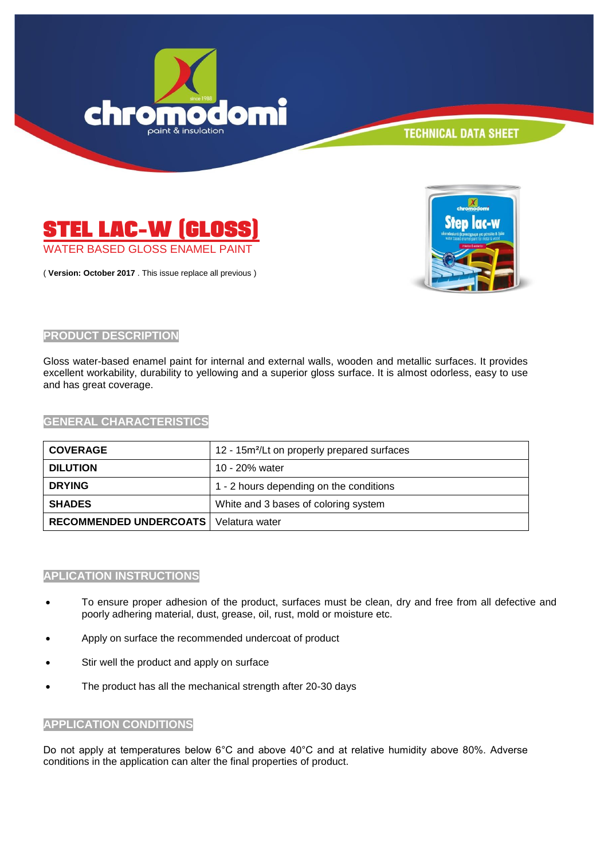



( **Version: October 2017** . This issue replace all previous )



#### **PRODUCT DESCRIPTION**

Gloss water-based enamel paint for internal and external walls, wooden and metallic surfaces. It provides excellent workability, durability to yellowing and a superior gloss surface. It is almost odorless, easy to use and has great coverage.

**GENERAL CHARACTERISTICS**

| <b>COVERAGE</b>               | 12 - 15m <sup>2</sup> /Lt on properly prepared surfaces |
|-------------------------------|---------------------------------------------------------|
| <b>DILUTION</b>               | 10 - 20% water                                          |
| <b>DRYING</b>                 | 1 - 2 hours depending on the conditions                 |
| <b>SHADES</b>                 | White and 3 bases of coloring system                    |
| <b>RECOMMENDED UNDERCOATS</b> | Velatura water                                          |

#### **APLICATION INSTRUCTIONS**

- To ensure proper adhesion of the product, surfaces must be clean, dry and free from all defective and poorly adhering material, dust, grease, oil, rust, mold or moisture etc.
- Apply on surface the recommended undercoat of product
- Stir well the product and apply on surface
- The product has all the mechanical strength after 20-30 days

#### **APPLICATION CONDITIONS**

Do not apply at temperatures below 6°C and above 40°C and at relative humidity above 80%. Adverse conditions in the application can alter the final properties of product.